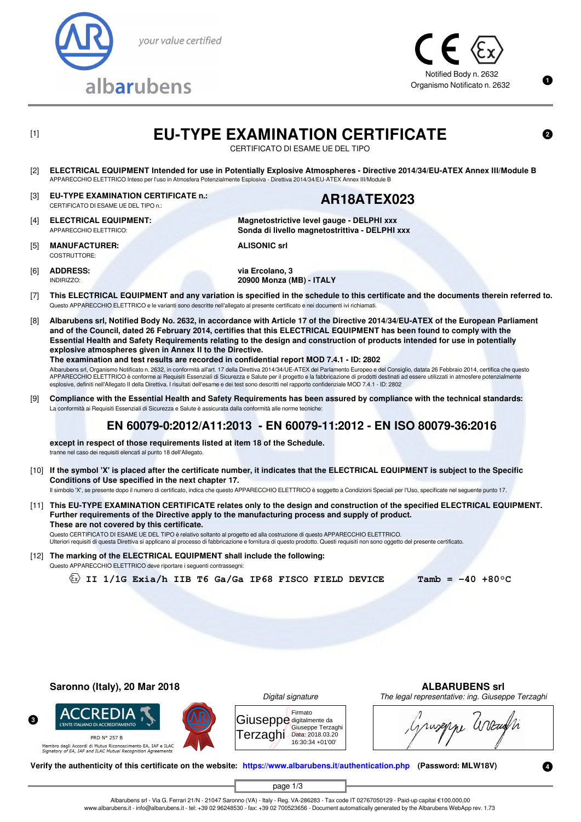



CERTIFICATO DI ESAME UE DEL TIPO

**Magnetostrictive level gauge - DELPHI xxx Sonda di livello magnetostrittiva - DELPHI xxx**

- [2] **ELECTRICAL EQUIPMENT Intended for use in Potentially Explosive Atmospheres Directive 2014/34/EU-ATEX Annex III/Module B** APPARECCHIO ELETTRICO Inteso per l'uso in Atmosfera Potenzialmente Esplosiva - Direttiva 2014/34/EU-ATEX Annex III/Module B
- [3] **EU-TYPE EXAMINATION CERTIFICATE n.:** EU-TYPE EXAMINATION CERTIFICATE n.:<br>CERTIFICATO DI ESAME UE DEL TIPO n.: **AR18ATEX023**

- [4] **ELECTRICAL EQUIPMENT:** APPARECCHIO ELETTRICO:
- [5] **MANUFACTURER:** COSTRUTTORE:

**ALISONIC srl**

[6] **ADDRESS:** INDIRIZZO:

**via Ercolano, 3 20900 Monza (MB) - ITALY**

- [7] **This ELECTRICAL EQUIPMENT and any variation is specified in the schedule to this certificate and the documents therein referred to.** Questo APPARECCHIO ELETTRICO e le varianti sono descritte nell'allegato al presente certificato e nei documenti ivi richiamati.
- [8] **Albarubens srl, Notified Body No. 2632, in accordance with Article 17 of the Directive 2014/34/EU-ATEX of the European Parliament and of the Council, dated 26 February 2014, certifies that this ELECTRICAL EQUIPMENT has been found to comply with the Essential Health and Safety Requirements relating to the design and construction of products intended for use in potentially explosive atmospheres given in Annex II to the Directive. The examination and test results are recorded in confidential report MOD 7.4.1 - ID: 2802**

Albarubens srl, Organismo Notificato n. 2632, in conformità all'art. 17 della Direttiva 2014/34/UE-ATEX del Parlamento Europeo e del Consiglio, datata 26 Febbraio 2014, certifica che questo APPARECCHIO ELETTRICO è conforme ai Requisiti Essenziali di Sicurezza e Salute per il progetto e la fabbricazione di prodotti destinati ad essere utilizzati in atmosfere potenzialmente

- esplosive, definiti nell'Allegato II della Direttiva. I risultati dell'esame e dei test sono descritti nel rapporto confidenziale MOD 7.4.1 ID: 2802
- [9] **Compliance with the Essential Health and Safety Requirements has been assured by compliance with the technical standards:** La conformità ai Requisiti Essenziali di Sicurezza e Salute è assicurata dalla conformità alle norme tecniche:

# **EN 60079-0:2012/A11:2013 - EN 60079-11:2012 - EN ISO 80079-36:2016**

**except in respect of those requirements listed at item 18 of the Schedule.** tranne nel caso dei requisiti elencati al punto 18 dell'Allegato.

[10] **If the symbol 'X' is placed after the certificate number, it indicates that the ELECTRICAL EQUIPMENT is subject to the Specific Conditions of Use specified in the next chapter 17.**

Il simbolo 'X', se presente dopo il numero di certificato, indica che questo APPARECCHIO ELETTRICO è soggetto a Condizioni Speciali per l'Uso, specificate nel seguente punto 17.

[11] **This EU-TYPE EXAMINATION CERTIFICATE relates only to the design and construction of the specified ELECTRICAL EQUIPMENT. Further requirements of the Directive apply to the manufacturing process and supply of product. These are not covered by this certificate.**

Questo CERTIFICATO DI ESAME UE DEL TIPO è relativo soltanto al progetto ed alla costruzione di questo APPARECCHIO ELETTRICO. Ulteriori requisiti di questa Direttiva si applicano al processo di fabbricazione e fornitura di questo prodotto. Questi requisiti non sono oggetto del presente certificato.

[12] **The marking of the ELECTRICAL EQUIPMENT shall include the following:** Questo APPARECCHIO ELETTRICO deve riportare i seguenti contrassegni:

 $\langle x \rangle$  II 1/1G Exia/h IIB T6 Ga/Ga IP68 FISCO FIELD DEVICE **Tamb = -40 +80°C** 

**Saronno (Italy), 20 Mar 2018 ALBARUBENS srl**

CREDIA

**'ENITE ITALIANO DI ACCREDITAMENTO PRD Nº 257 B** 





Giuseppe digitalmente da Terzaghi Data: 2018.03.20 Firmato Giuseppe Terzaghi 16:30:34 +01'00'

ruseppe arrang

Membro degli Accordi di Mutuo Riconoscimento EA, IAF e ILAC<br>*Signatory of EA, IAF and ILAC Mutual Recognition Agreements* 

**Verify the authenticity of this certificate on the website: [https://www.albarubens.it/authentication.php](https://www.albarubens.it/authentication.php?search=AR18ATEX023) (Password: MLW18V)**

page 1/3

Albarubens srl - Via G. Ferrari 21/N - 21047 Saronno (VA) - Italy - Reg. VA-286283 - Tax code IT 02767050129 - Paid-up capital €100.000,00 www.albarubens.it - info@albarubens.it - tel: +39 02 96248530 - fax: +39 02 700523656 - Document automatically generated by the Albarubens WebApp rev. 1.73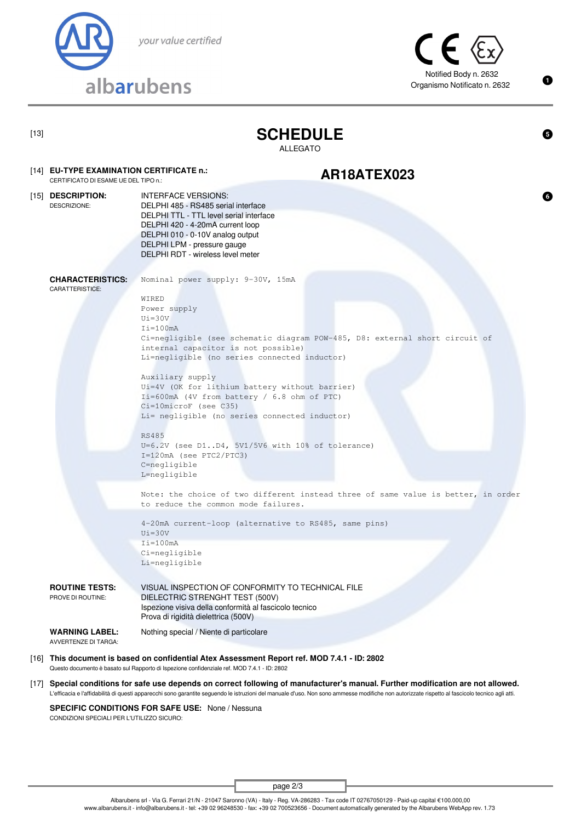



Λ

| ×<br>۰. |  |
|---------|--|
|---------|--|

[13] **SCHEDULE**

ALLEGATO

# EU-TYPE EXAMINATION CERTIFICATE n.:<br>CERTIFICATO DI ESAME UE DEL TIPO n.: **AR18ATEX023**

### [15] **DESCRIPTION:** DESCRIZIONE: INTERFACE VERSIONS:

[14] **EU-TYPE EXAMINATION CERTIFICATE n.:**

DELPHI 485 - RS485 serial interface DELPHI TTL - TTL level serial interface DELPHI 420 - 4-20mA current loop DELPHI 010 - 0-10V analog output DELPHI LPM - pressure gauge DELPHI RDT - wireless level meter

**CHARACTERISTICS:**

Nominal power supply: 9-30V, 15mA

## CARATTERISTICE:

WIRED Power supply  $U_i = 30V$  $I$ i=100mA Ci=negligible (see schematic diagram POW-485, D8: external short circuit of internal capacitor is not possible) Li=negligible (no series connected inductor)

Auxiliary supply Ui=4V (OK for lithium battery without barrier) Ii=600mA (4V from battery / 6.8 ohm of PTC) Ci=10microF (see C35) Li= negligible (no series connected inductor)

RS485 U=6.2V (see D1..D4, 5V1/5V6 with 10% of tolerance) I=120mA (see PTC2/PTC3) C=negligible L=negligible

Note: the choice of two different instead three of same value is better, in order to reduce the common mode failures.

4-20mA current-loop (alternative to RS485, same pins)  $U_i = 30V$  $I$ i=100mA Ci=negligible Li=negligible

**ROUTINE TESTS:** PROVE DI ROUTINE:

VISUAL INSPECTION OF CONFORMITY TO TECHNICAL FILE DIELECTRIC STRENGHT TEST (500V) Ispezione visiva della conformità al fascicolo tecnico Prova di rigidità dielettrica (500V)

**WARNING LABEL:** AVVERTENZE DI TARGA:

Nothing special / Niente di particolare

[16] **This document is based on confidential Atex Assessment Report ref. MOD 7.4.1 - ID: 2802** Questo documento è basato sul Rapporto di Ispezione confidenziale ref. MOD 7.4.1 - ID: 2802

[17] **Special conditions for safe use depends on correct following of manufacturer's manual. Further modification are not allowed.** L'efficacia e l'affidabilità di questi apparecchi sono garantite seguendo le istruzioni del manuale d'uso. Non sono ammesse modifiche non autorizzate rispetto al fascicolo tecnico agli atti.

**SPECIFIC CONDITIONS FOR SAFE USE:** None / Nessuna CONDIZIONI SPECIALI PER L'UTILIZZO SICURO:

page 2/3